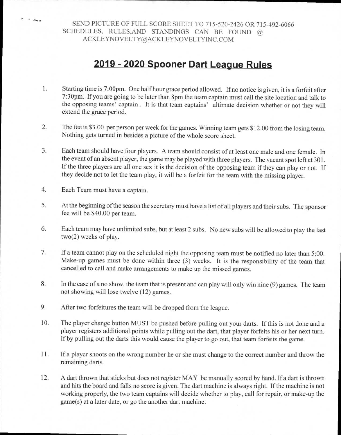SEND PICTURE OF FULL SCORE SHEET TO 715-520-2426 OR 715-492-6066 SCHEDULES, RULES,AND STANDINGS CAN BE FOUND @ ACKLEYNOVELTY@ACKLEYNOVELTYINC.COM

## **2019 - 2020 Spooner Dart League Rules**

- 1. Starting time is 7:00pm. One half hour grace period allowed. If no notice is given, it is a forfeit after 7:30pm. If you are going to be later than 8pm the team captain must call the site location and talk to the opposing teams' captain . It is that team captains' ultimate decision whether or not they will extend the grace period.
- 2. The fee is \$3.00 per person per week for the games. Winning team gets \$12.00 from the losing team. Nothing gets turned in besides a picture of the whole score sheet.
- 3. Each team should have four players. A team should consist of at least one male and one female. In the event of an absent player, the game may be played with three players. The vacant spot left at 301. If the three players are all one sex it is the decision of the opposing team if they can play or not. If they decide not to let the team play, it will be a forfeit for the team with the missing player.
- 4. Each Team must have a captain.

 $\epsilon$  -  $\infty$ .

- 5. At the beginning of the season the secretary must have a list of all players and their subs. The sponsor fee will be \$40.00 per team.
- 6. Each team may have unlimited subs, but at least 2 subs. No new subs will be allowed to play the last two(2) weeks of play.
- 7. If a team cannot play on the scheduled night the opposing team must be notified no later than 5:00. Make-up games must be done within three (3) weeks. It is the responsibility of the team that cancelled to call and make arrangements to make up the missed games.
- 8. In the case of a no show, the team that is present and can play will only win nine (9) games. The team not showing will lose twelve (12) games.
- 9. After two forfeitures the team will be dropped from the league.
- 10. The player change button MUST be pushed before pulling out your darts. If this is not done and a <sup>p</sup>layer registers additional points while pulling out the dart, that player forfeits his or her next turn. If by pulling out the darts this would cause the player to go out, that team forfeits the game.
- 11. If a player shoots on the wrong number he or she must change to the correct number and throw the remaining darts.
- 12. A dart thrown that sticks but does not register MAY be manually scored by hand. If a dart is thrown and hits the board and falls no score is given. The dart machine is always right. If the machine is not working properly, the two team captains will decide whether to play, call for repair, or make-up the game(s) at a later date, or go the another dart machine.